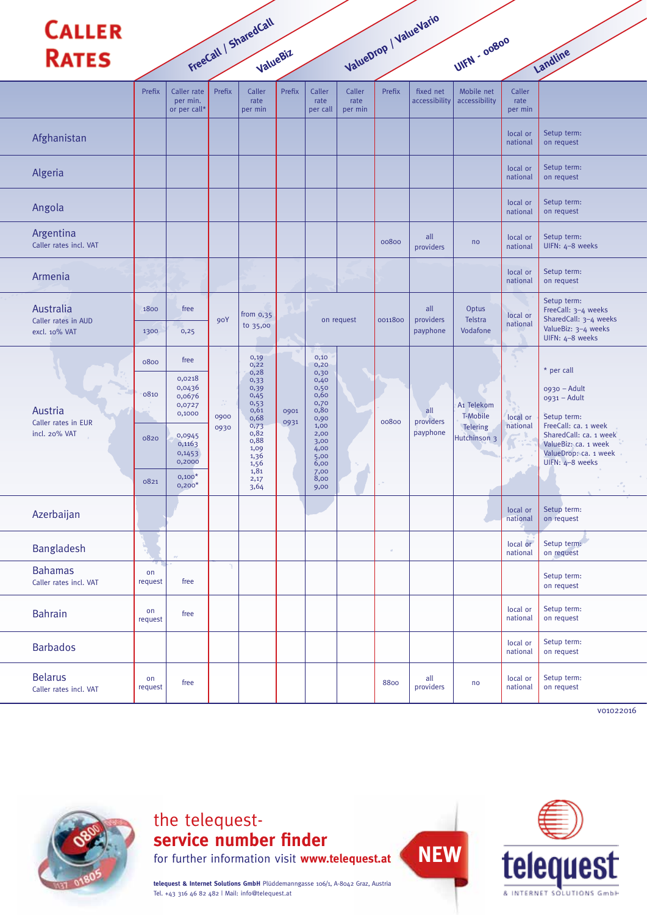| <b>CALLER</b><br><b>RATES</b>                     |                              |                                                                                                                        |              | FreeCall   SharedCall<br>ValueBiz                                                                                                            |              |                                                                                                                                              |                           |          | ValueDrop   ValueVario       | UIFN - 00800                                                          |                           | Landline                                                                                                                                                                            |
|---------------------------------------------------|------------------------------|------------------------------------------------------------------------------------------------------------------------|--------------|----------------------------------------------------------------------------------------------------------------------------------------------|--------------|----------------------------------------------------------------------------------------------------------------------------------------------|---------------------------|----------|------------------------------|-----------------------------------------------------------------------|---------------------------|-------------------------------------------------------------------------------------------------------------------------------------------------------------------------------------|
|                                                   | Prefix                       | Caller rate<br>per min.<br>or per call*                                                                                | Prefix       | Caller<br>rate<br>per min                                                                                                                    | Prefix       | Caller<br>rate<br>per call                                                                                                                   | Caller<br>rate<br>per min | Prefix   | fixed net<br>accessibility   | Mobile net<br>accessibility                                           | Caller<br>rate<br>per min |                                                                                                                                                                                     |
| Afghanistan                                       |                              |                                                                                                                        |              |                                                                                                                                              |              |                                                                                                                                              |                           |          |                              |                                                                       | local or<br>national      | Setup term:<br>on request                                                                                                                                                           |
| Algeria                                           |                              |                                                                                                                        |              |                                                                                                                                              |              |                                                                                                                                              |                           |          |                              |                                                                       | local or<br>national      | Setup term:<br>on request                                                                                                                                                           |
| Angola                                            |                              |                                                                                                                        |              |                                                                                                                                              |              |                                                                                                                                              |                           |          |                              |                                                                       | local or<br>national      | Setup term:<br>on request                                                                                                                                                           |
| Argentina<br>Caller rates incl. VAT               |                              |                                                                                                                        |              |                                                                                                                                              |              |                                                                                                                                              |                           | 00800    | all<br>providers             | no                                                                    | local or<br>national      | Setup term:<br>UIFN: 4-8 weeks                                                                                                                                                      |
| Armenia                                           |                              |                                                                                                                        |              |                                                                                                                                              |              |                                                                                                                                              |                           |          |                              |                                                                       | local or<br>national      | Setup term:<br>on request                                                                                                                                                           |
| Australia<br>Caller rates in AUD<br>excl. 10% VAT | 1800<br>1300                 | free<br>0,25                                                                                                           | <b>90Y</b>   | from $0,35$<br>to 35,00                                                                                                                      |              |                                                                                                                                              | on request                | 0011800  | all<br>providers<br>payphone | Optus<br>Telstra<br>Vodafone                                          | local or<br>national      | Setup term:<br>FreeCall: 3-4 weeks<br>SharedCall: 3-4 weeks<br>ValueBiz: 3-4 weeks<br>UIFN: 4-8 weeks                                                                               |
| Austria<br>Caller rates in EUR<br>incl. 20% VAT   | 0800<br>0810<br>0820<br>0821 | free<br>0,0218<br>0,0436<br>0,0676<br>0,0727<br>0,1000<br>0,0945<br>0,1163<br>0,1453<br>0,2000<br>$0,100*$<br>$0,200*$ | 0900<br>0930 | 0,19<br>0,22<br>0,28<br>0,33<br>0,39<br>0,45<br>0,53<br>0,61<br>0,68<br>0,73<br>0,82<br>0,88<br>1,09<br>1,36<br>1,56<br>1,81<br>2,17<br>3,64 | 0901<br>0931 | 0,10<br>0,20<br>0,30<br>0,40<br>0,50<br>0,60<br>0,70<br>0,80<br>0,90<br>1,00<br>2,00<br>3,00<br>4,00<br>5,00<br>6,00<br>7,00<br>8,00<br>9,00 |                           | 00800    | all<br>providers<br>payphone | A <sub>1</sub> Telekom<br><b>T-Mobile</b><br>Telering<br>Hutchinson 3 | local or<br>national      | * per call<br>$0930 -$ Adult<br>$0931 -$ Adult<br>Setup term:<br>FreeCall: ca. 1 week<br>SharedCall: ca. 1 week<br>ValueBiz: ca. 1 week<br>ValueDrop: ca. 1 week<br>UIFN: 4-8 weeks |
| Azerbaijan                                        |                              |                                                                                                                        |              |                                                                                                                                              |              |                                                                                                                                              |                           |          |                              |                                                                       | local or<br>national      | Setup term:<br>on request                                                                                                                                                           |
| Bangladesh                                        |                              |                                                                                                                        |              |                                                                                                                                              |              |                                                                                                                                              |                           | $\alpha$ |                              |                                                                       | local or<br>national      | Setup term:<br>on request                                                                                                                                                           |
| <b>Bahamas</b><br>Caller rates incl. VAT          | on<br>request                | free                                                                                                                   | Œ.           |                                                                                                                                              |              |                                                                                                                                              |                           |          |                              |                                                                       |                           | Setup term:<br>on request                                                                                                                                                           |
| <b>Bahrain</b>                                    | on<br>request                | free                                                                                                                   |              |                                                                                                                                              |              |                                                                                                                                              |                           |          |                              |                                                                       | local or<br>national      | Setup term:<br>on request                                                                                                                                                           |
| <b>Barbados</b>                                   |                              |                                                                                                                        |              |                                                                                                                                              |              |                                                                                                                                              |                           |          |                              |                                                                       | local or<br>national      | Setup term:<br>on request                                                                                                                                                           |
| <b>Belarus</b><br>Caller rates incl. VAT          | on<br>request                | free                                                                                                                   |              |                                                                                                                                              |              |                                                                                                                                              |                           | 8800     | all<br>providers             | no                                                                    | local or<br>national      | Setup term:<br>on request                                                                                                                                                           |



the telequest**service number finder**

for further information visit **www.telequest.at**

**telequest & Internet Solutions GmbH** Plüddemanngasse 106/1, A-8042 Graz, Austria Tel. +43 316 46 82 482 | Mail: info@telequest.at



**NEW**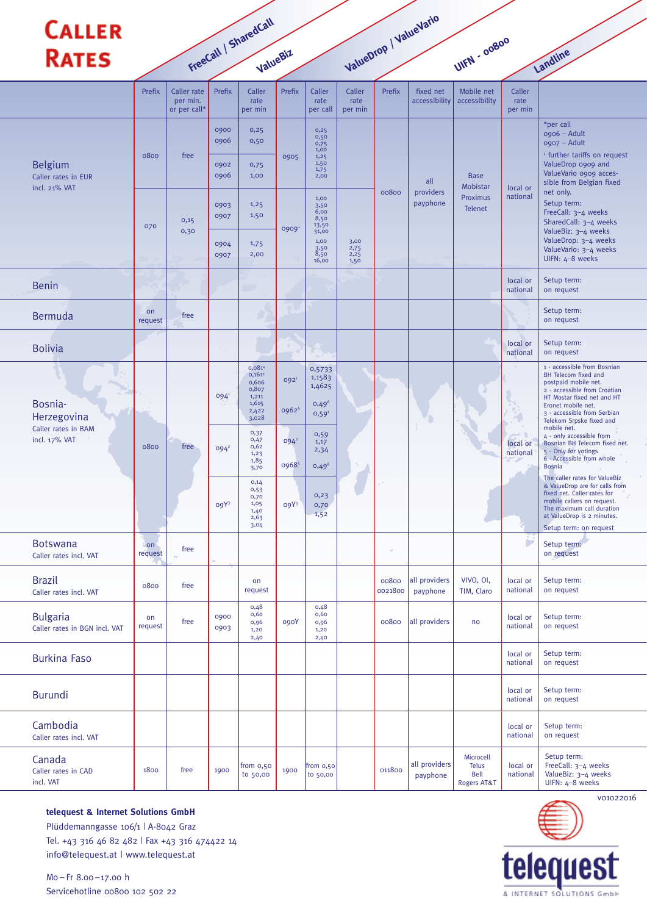# **CALLER** RATES FreeCall | SharedCall

| <b>CALLER</b>                                    |               |                                         |                  |                                                                                                |                           |                                                             |                              |                  |                            |                                                  |                           |                                                                                                                                                                                                                            |
|--------------------------------------------------|---------------|-----------------------------------------|------------------|------------------------------------------------------------------------------------------------|---------------------------|-------------------------------------------------------------|------------------------------|------------------|----------------------------|--------------------------------------------------|---------------------------|----------------------------------------------------------------------------------------------------------------------------------------------------------------------------------------------------------------------------|
| <b>RATES</b>                                     |               |                                         |                  | FreeCall / SharedCall<br>ValueBiz                                                              |                           |                                                             |                              |                  | ValueDrop / ValueVario     | UIFN - 00800                                     |                           | Landline                                                                                                                                                                                                                   |
|                                                  |               |                                         |                  |                                                                                                |                           |                                                             |                              |                  |                            |                                                  |                           |                                                                                                                                                                                                                            |
|                                                  | Prefix        | Caller rate<br>per min.<br>or per call* | Prefix           | Caller<br>rate<br>per min                                                                      | Prefix                    | Caller<br>rate<br>per call                                  | Caller<br>rate<br>per min    | Prefix           | fixed net<br>accessibility | Mobile net<br>accessibility                      | Caller<br>rate<br>per min |                                                                                                                                                                                                                            |
|                                                  |               |                                         | 0900<br>0906     | 0,25<br>0,50                                                                                   |                           | 0,25<br>0,50<br>0,75<br>1,00                                |                              |                  |                            |                                                  |                           | *per call<br>$0906 -$ Adult<br>$0907 -$ Adult                                                                                                                                                                              |
| Belgium<br>Caller rates in EUR<br>incl. 21% VAT  | 0800          | free                                    | 0902<br>0906     | 0,75<br>1,00                                                                                   | 0905                      | 1,25<br>1,50<br>1,75<br>2,00                                |                              |                  | all                        | <b>Base</b><br>Mobistar                          | local or                  | <sup>1</sup> further tariffs on request<br>ValueDrop 0909 and<br>ValueVario 0909 acces-<br>sible from Belgian fixed                                                                                                        |
|                                                  | 070           | 0,15                                    | 0903<br>0907     | 1,25<br>1,50                                                                                   | 0909 <sup>1</sup>         | 1,00<br>3,50<br>6,00<br>8,50<br>13,50                       |                              | 00800            | providers<br>payphone      | Proximus<br><b>Telenet</b>                       | national                  | net only.<br>Setup term:<br>FreeCall: 3-4 weeks<br>SharedCall: 3-4 weeks                                                                                                                                                   |
|                                                  |               | 0,30                                    | 0904<br>0907     | 1,75<br>2,00                                                                                   |                           | 31,00<br>1,00<br>3,50<br>8,50<br>16,00                      | 3,00<br>2,75<br>2,25<br>1,50 |                  |                            |                                                  |                           | ValueBiz: 3-4 weeks<br>ValueDrop: 3-4 weeks<br>ValueVario: 3-4 weeks<br>UIFN: 4-8 weeks                                                                                                                                    |
| <b>Benin</b>                                     |               |                                         |                  | m.                                                                                             |                           |                                                             |                              |                  |                            |                                                  | local or<br>national      | Setup term:<br>on request                                                                                                                                                                                                  |
| Bermuda                                          | on<br>request | free                                    |                  |                                                                                                |                           |                                                             |                              |                  |                            |                                                  |                           | Setup term:<br>on request                                                                                                                                                                                                  |
| <b>Bolivia</b>                                   |               |                                         |                  |                                                                                                |                           |                                                             |                              |                  |                            |                                                  | local or<br>national      | Setup term:<br>on request                                                                                                                                                                                                  |
| Bosnia-<br>Herzegovina                           |               |                                         | $094^{1}$        | 0,081 <sup>4</sup><br>0,161 <sup>4</sup><br>0,606<br>0,807<br>1,211<br>1,615<br>2,422<br>3,028 | 092 <sup>1</sup><br>09625 | 0,5733<br>1,1583<br>1,4625<br>$0,49^6$<br>0,59 <sup>1</sup> |                              |                  |                            |                                                  |                           | 1 - accessible from Bosnian<br>BH Telecom fixed and<br>postpaid mobile net.<br>2 - accessible from Croatian<br>HT Mostar fixed net and HT<br>Eronet mobile net.<br>3 - accessible from Serbian<br>Telekom Srpske fixed and |
| Caller rates in BAM<br>incl. 17% VAT             | 0800          | free                                    | $094^2$          | 0,37<br>0,47<br>0,62<br>1,23<br>1,85<br>3,70                                                   | $094^2$<br>09685          | 0,59<br>1,17<br>2,34<br>$0,49^6$                            |                              |                  |                            |                                                  | local or<br>national      | mobile net.<br>4 - only accessible from<br>Bosnian BH Telecom fixed net.<br>5 - Only for votings<br>6 - Accessible from whole<br><b>Bosnia</b>                                                                             |
|                                                  |               |                                         | ogY <sup>3</sup> | 0,14<br>0,53<br>0,70<br>1,05<br>1,40<br>2,63<br>3,04                                           | 09Y <sup>3</sup>          | 0,23<br>0,70<br>1,52                                        |                              |                  |                            |                                                  |                           | The caller rates for ValueBiz<br>& ValueDrop are for calls from<br>fixed net. Caller rates for<br>mobile callers on request.<br>The maximum call duration<br>at ValueDrop is 2 minutes.<br>Setup term: on request          |
| <b>Botswana</b><br>Caller rates incl. VAT        | on<br>request | free                                    |                  |                                                                                                |                           |                                                             |                              | $\alpha$         |                            |                                                  | P                         | Setup term:<br>on request                                                                                                                                                                                                  |
| <b>Brazil</b><br>Caller rates incl. VAT          | 0800          | free                                    |                  | on<br>request                                                                                  |                           |                                                             |                              | 00800<br>0021800 | all providers<br>payphone  | VIVO, OI,<br>TIM, Claro                          | local or<br>national      | Setup term:<br>on request                                                                                                                                                                                                  |
| <b>Bulgaria</b><br>Caller rates in BGN incl. VAT | on<br>request | free                                    | 0900<br>0903     | 0,48<br>0,60<br>0,96<br>1,20<br>2,40                                                           | ogoY                      | 0,48<br>0,60<br>0,96<br>1,20<br>2,40                        |                              | 00800            | all providers              | no                                               | local or<br>national      | Setup term:<br>on request                                                                                                                                                                                                  |
| <b>Burkina Faso</b>                              |               |                                         |                  |                                                                                                |                           |                                                             |                              |                  |                            |                                                  | local or<br>national      | Setup term:<br>on request                                                                                                                                                                                                  |
| <b>Burundi</b>                                   |               |                                         |                  |                                                                                                |                           |                                                             |                              |                  |                            |                                                  | local or<br>national      | Setup term:<br>on request                                                                                                                                                                                                  |
| Cambodia<br>Caller rates incl. VAT               |               |                                         |                  |                                                                                                |                           |                                                             |                              |                  |                            |                                                  | local or<br>national      | Setup term:<br>on request                                                                                                                                                                                                  |
| Canada<br>Caller rates in CAD<br>incl. VAT       | 1800          | free                                    | 1900             | from 0,50<br>to 50,00                                                                          | 1900                      | from 0,50<br>to 50,00                                       |                              | 011800           | all providers<br>payphone  | Microcell<br><b>Telus</b><br>Bell<br>Rogers AT&T | local or<br>national      | Setup term:<br>FreeCall: 3-4 weeks<br>ValueBiz: 3-4 weeks<br>UIFN: 4-8 weeks                                                                                                                                               |

**telequest & Internet Solutions GmbH**

Plüddemanngasse 106/1 | A-8042 Graz Tel. +43 316 46 82 482 | Fax +43 316 474422 14 info@telequest.at | www.telequest.at

Mo – Fr 8.00 –17.00 h Servicehotline 00800 102 502 22



v01022016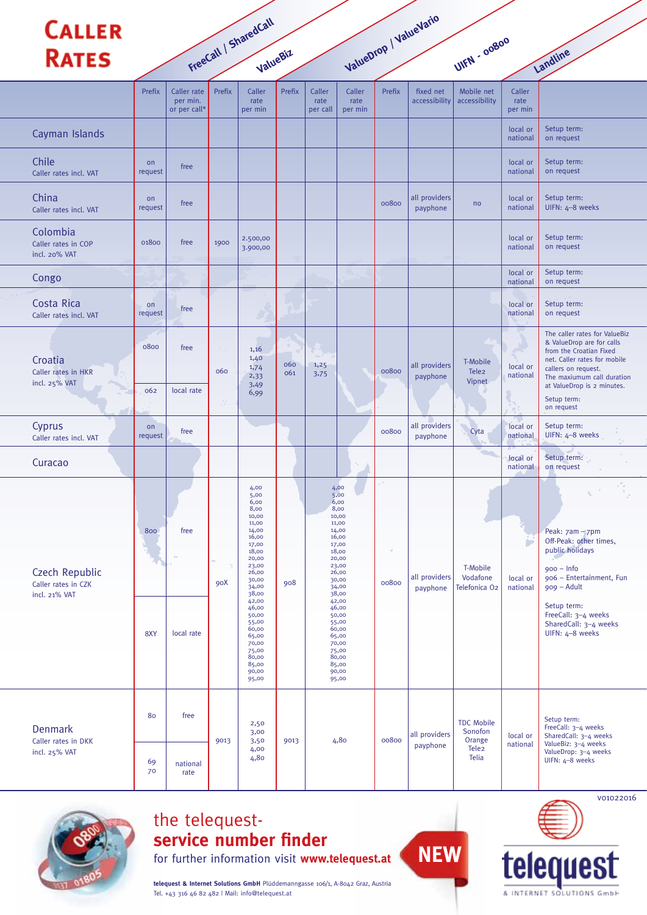| <b>CALLER</b>                                          |               |                                         |           |                                                                                                                                                                                                                                    |            |                            |                                                                                                                                                                                                                                    |        |                            |                                         |                           |                                                                                                                                                                                                                                       |
|--------------------------------------------------------|---------------|-----------------------------------------|-----------|------------------------------------------------------------------------------------------------------------------------------------------------------------------------------------------------------------------------------------|------------|----------------------------|------------------------------------------------------------------------------------------------------------------------------------------------------------------------------------------------------------------------------------|--------|----------------------------|-----------------------------------------|---------------------------|---------------------------------------------------------------------------------------------------------------------------------------------------------------------------------------------------------------------------------------|
| <b>RATES</b>                                           |               |                                         |           | FreeCall   SharedCall<br>ValueBiz                                                                                                                                                                                                  |            |                            |                                                                                                                                                                                                                                    |        | ValueDrop / ValueVario     | UIFN - 00800                            |                           | Landline                                                                                                                                                                                                                              |
|                                                        | Prefix        | Caller rate<br>per min.<br>or per call* | Prefix    | Caller<br>rate<br>per min                                                                                                                                                                                                          | Prefix     | Caller<br>rate<br>per call | Caller<br>rate<br>per min                                                                                                                                                                                                          | Prefix | fixed net<br>accessibility | Mobile net<br>accessibility             | Caller<br>rate<br>per min |                                                                                                                                                                                                                                       |
| Cayman Islands                                         |               |                                         |           |                                                                                                                                                                                                                                    |            |                            |                                                                                                                                                                                                                                    |        |                            |                                         | local or<br>national      | Setup term:<br>on request                                                                                                                                                                                                             |
| Chile<br>Caller rates incl. VAT                        | on<br>request | free                                    |           |                                                                                                                                                                                                                                    |            |                            |                                                                                                                                                                                                                                    |        |                            |                                         | local or<br>national      | Setup term:<br>on request                                                                                                                                                                                                             |
| China<br>Caller rates incl. VAT                        | on<br>request | free                                    |           |                                                                                                                                                                                                                                    |            |                            |                                                                                                                                                                                                                                    | 00800  | all providers<br>payphone  | no                                      | local or<br>national      | Setup term:<br>UIFN: 4-8 weeks                                                                                                                                                                                                        |
| Colombia<br>Caller rates in COP<br>incl. 20% VAT       | 01800         | free                                    | 1900      | 2.500,00<br>3.900,00                                                                                                                                                                                                               |            |                            |                                                                                                                                                                                                                                    |        |                            |                                         | local or<br>national      | Setup term:<br>on request                                                                                                                                                                                                             |
| Congo                                                  |               |                                         |           |                                                                                                                                                                                                                                    |            |                            |                                                                                                                                                                                                                                    |        |                            |                                         | local or<br>national      | Setup term:<br>on request                                                                                                                                                                                                             |
| Costa Rica<br>Caller rates incl. VAT                   | on<br>request | free                                    |           | ć,                                                                                                                                                                                                                                 |            |                            |                                                                                                                                                                                                                                    |        |                            |                                         | local or<br>national      | Setup term:<br>on request                                                                                                                                                                                                             |
| Croatia<br>Caller rates in HKR<br>incl. 25% VAT        | 0800<br>062   | free<br>local rate                      | 060<br>p. | 1,16<br>1,40<br>1,74<br>2,33<br>3,49<br>6,99                                                                                                                                                                                       | 060<br>061 | 1,25<br>3,75               |                                                                                                                                                                                                                                    | 00800  | all providers<br>payphone  | T-Mobile<br>Tele <sub>2</sub><br>Vipnet | local or<br>national      | The caller rates for ValueBiz<br>& ValueDrop are for calls<br>from the Croatian Fixed<br>net. Caller rates for mobile<br>callers on request.<br>The maxiumum call duration<br>at ValueDrop is 2 minutes.<br>Setup term:<br>on request |
| Cyprus<br>Caller rates incl. VAT                       | on<br>request | free                                    |           |                                                                                                                                                                                                                                    |            |                            |                                                                                                                                                                                                                                    | 00800  | all providers<br>payphone  | Cyta                                    | local or<br>national      | Setup term:<br>UIFN: 4-8 weeks                                                                                                                                                                                                        |
| Curacao                                                |               |                                         |           |                                                                                                                                                                                                                                    |            |                            |                                                                                                                                                                                                                                    |        |                            |                                         | local or<br>national      | Setup term:<br>on request                                                                                                                                                                                                             |
| Czech Republic<br>Caller rates in CZK<br>incl. 21% VAT | 800<br>8XY    | free<br>local rate                      | 90X       | 4,00<br>5,00<br>6.00<br>8,00<br>10,00<br>11,00<br>14,00<br>16,00<br>17,00<br>18,00<br>20,00<br>23,00<br>26,00<br>30,00<br>34,00<br>38,00<br>42,00<br>46,00<br>50,00<br>55,00<br>60,00<br>65,00<br>70,00<br>75,00<br>80,00<br>85,00 | 908        |                            | 4,00<br>5,00<br>6.00<br>8,00<br>10,00<br>11,00<br>14,00<br>16,00<br>17,00<br>18,00<br>20,00<br>23,00<br>26,00<br>30,00<br>34,00<br>38,00<br>42,00<br>46,00<br>50,00<br>55,00<br>60,00<br>65,00<br>70,00<br>75,00<br>80,00<br>85,00 | 00800  | all providers<br>payphone  | T-Mobile<br>Vodafone<br>Telefonica O2   | local or<br>national      | Peak: 7am - 7pm<br>Off-Peak: other times,<br>public holidays<br>$900 - lnfo$<br>906 - Entertainment, Fun<br>$909 -$ Adult<br>Setup term:<br>FreeCall: 3-4 weeks<br>SharedCall: 3-4 weeks<br>UIFN: 4-8 weeks                           |
|                                                        |               |                                         |           | 90,00<br>95,00                                                                                                                                                                                                                     |            |                            | 90,00<br>95,00                                                                                                                                                                                                                     |        |                            |                                         |                           |                                                                                                                                                                                                                                       |
| Denmark<br>Caller rates in DKK                         | 80            | free                                    | 9013      | 2,50<br>3,00<br>3,50                                                                                                                                                                                                               | 9013       |                            | 4,80                                                                                                                                                                                                                               | 00800  | all providers<br>payphone  | <b>TDC Mobile</b><br>Sonofon<br>Orange  | local or<br>national      | Setup term:<br>FreeCall: 3-4 weeks<br>SharedCall: 3-4 weeks<br>ValueBiz: 3-4 weeks                                                                                                                                                    |
| incl. 25% VAT                                          | 69<br>70      | national<br>rate                        |           | 4,00<br>4,80                                                                                                                                                                                                                       |            |                            |                                                                                                                                                                                                                                    |        |                            | Tele <sub>2</sub><br>Telia              |                           | ValueDrop: 3-4 weeks<br>UIFN: 4-8 weeks                                                                                                                                                                                               |



## the telequest**service number finder**

for further information visit **www.telequest.at**

**telequest & Internet Solutions GmbH** Plüddemanngasse 106/1, A-8042 Graz, Austria Tel. +43 316 46 82 482 | Mail: info@telequest.at



& INTERNET SOLUTIONS GmbH

**NEW**

v01022016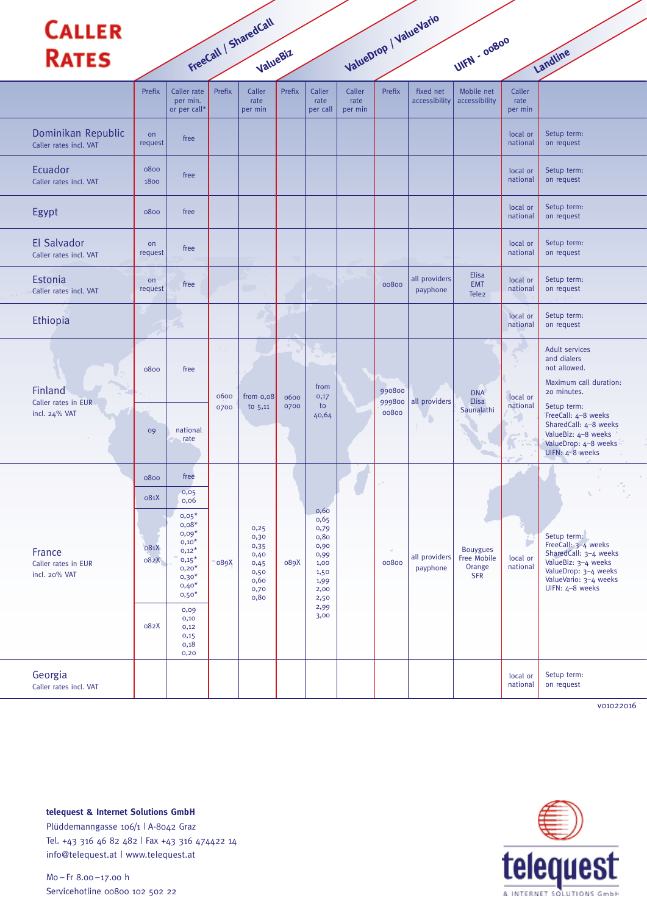| <b>CALLER</b><br><b>RATES</b>                   |                                      |                                                                                                                                                                                    |              | FreeCall / SharedCall<br>ValueBiz                                    |              |                                                                                                      |                           |                           | ValueDrop / ValueVario     | UIFN - 00800                                           |                            | Landline                                                                                                                                                                                                                |
|-------------------------------------------------|--------------------------------------|------------------------------------------------------------------------------------------------------------------------------------------------------------------------------------|--------------|----------------------------------------------------------------------|--------------|------------------------------------------------------------------------------------------------------|---------------------------|---------------------------|----------------------------|--------------------------------------------------------|----------------------------|-------------------------------------------------------------------------------------------------------------------------------------------------------------------------------------------------------------------------|
|                                                 | Prefix                               | Caller rate<br>per min.<br>or per call*                                                                                                                                            | Prefix       | Caller<br>rate<br>per min                                            | Prefix       | Caller<br>rate<br>per call                                                                           | Caller<br>rate<br>per min | Prefix                    | fixed net<br>accessibility | Mobile net<br>accessibility                            | Caller<br>rate<br>per min  |                                                                                                                                                                                                                         |
| Dominikan Republic<br>Caller rates incl. VAT    | on<br>request                        | free                                                                                                                                                                               |              |                                                                      |              |                                                                                                      |                           |                           |                            |                                                        | local or<br>national       | Setup term:<br>on request                                                                                                                                                                                               |
| Ecuador<br>Caller rates incl. VAT               | 0800<br>1800                         | free                                                                                                                                                                               |              |                                                                      |              |                                                                                                      |                           |                           |                            |                                                        | local or<br>national       | Setup term:<br>on request                                                                                                                                                                                               |
| Egypt                                           | 0800                                 | free                                                                                                                                                                               |              |                                                                      |              |                                                                                                      |                           |                           |                            |                                                        | local or<br>national       | Setup term:<br>on request                                                                                                                                                                                               |
| El Salvador<br>Caller rates incl. VAT           | on<br>request                        | free                                                                                                                                                                               |              |                                                                      |              |                                                                                                      |                           |                           |                            |                                                        | local or<br>national       | Setup term:<br>on request                                                                                                                                                                                               |
| Estonia<br>Caller rates incl. VAT               | on<br>request                        | free                                                                                                                                                                               |              | m,                                                                   |              |                                                                                                      |                           | 00800                     | all providers<br>payphone  | Elisa<br><b>EMT</b><br>Tele <sub>2</sub>               | local or<br>national       | Setup term:<br>on request                                                                                                                                                                                               |
| Ethiopia                                        |                                      |                                                                                                                                                                                    |              |                                                                      |              |                                                                                                      |                           |                           |                            |                                                        | local or<br>national       | Setup term:<br>on request                                                                                                                                                                                               |
| Finland<br>Caller rates in EUR<br>incl. 24% VAT | 0800<br>09                           | free<br>national<br>rate                                                                                                                                                           | 0600<br>0700 | from $0,08$<br>to $5,11$                                             | 0600<br>0700 | from<br>0,17<br>to<br>40,64                                                                          |                           | 990800<br>999800<br>00800 | all providers              | <b>DNA</b><br><b>Elisa</b><br>Saunalathi               | local or<br>national       | Adult services<br>and dialers<br>not allowed.<br>Maximum call duration:<br>20 minutes.<br>Setup term:<br>FreeCall: 4-8 weeks<br>SharedCall: 4-8 weeks<br>ValueBiz: 4-8 weeks<br>ValueDrop: 4-8 weeks<br>UIFN: 4-8 weeks |
| France<br>Caller rates in EUR<br>incl. 20% VAT  | 0800<br>081X<br>081X<br>082X<br>082X | free<br>0,05<br>0,06<br>$0,05*$<br>$0,08*$<br>$0,09*$<br>$0,10*$<br>$0,12*$<br>$0,15*$<br>$0,20*$<br>$0,30*$<br>$0,40*$<br>$0,50*$<br>0,09<br>0,10<br>0,12<br>0,15<br>0,18<br>0,20 | 089X         | 0,25<br>0,30<br>0,35<br>0,40<br>0,45<br>0,50<br>0,60<br>0,70<br>0,80 | 089X         | 0,60<br>0,65<br>0,79<br>0,80<br>0,90<br>0,99<br>1,00<br>1,50<br>1,99<br>2,00<br>2,50<br>2,99<br>3,00 |                           | 00800                     | all providers<br>payphone  | <b>Bouygues</b><br>Free Mobile<br>Orange<br><b>SFR</b> | r.<br>local or<br>national | Setup term:<br>FreeCall: 3-4 weeks<br>SharedCall: 3-4 weeks<br>ValueBiz: 3-4 weeks<br>ValueDrop: 3-4 weeks<br>ValueVario: 3-4 weeks<br>UIFN: 4-8 weeks                                                                  |
| Georgia<br>Caller rates incl. VAT               |                                      |                                                                                                                                                                                    |              |                                                                      |              |                                                                                                      |                           |                           |                            |                                                        | local or<br>national       | Setup term:<br>on request                                                                                                                                                                                               |



**telequest & Internet Solutions GmbH** Plüddemanngasse 106/1 | A-8042 Graz Tel. +43 316 46 82 482 | Fax +43 316 474422 14 info@telequest.at | www.telequest.at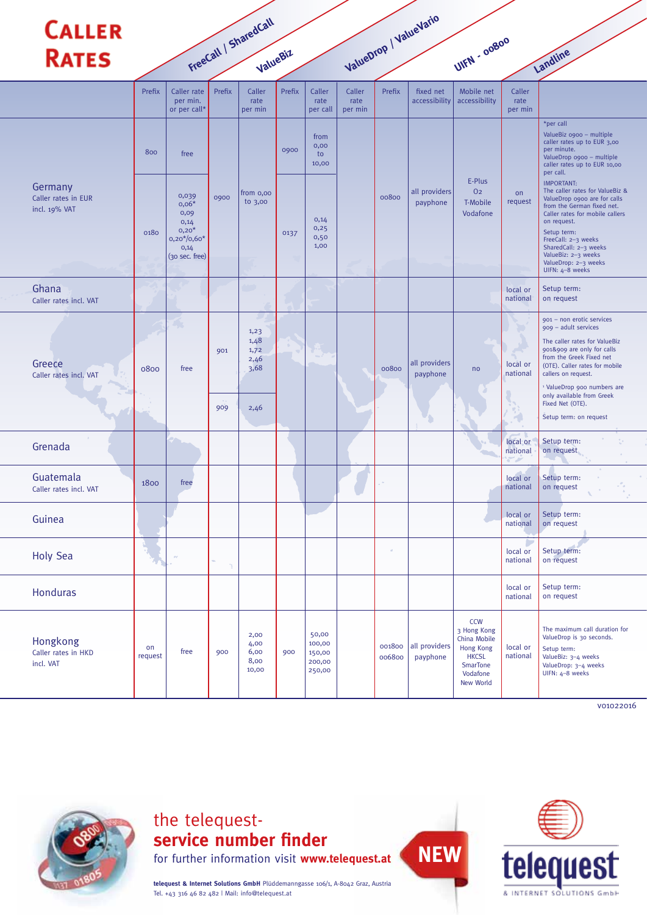| <b>CALLER</b><br><b>RATES</b>                   |               |                                                                                        |        | FreeCall   SharedCall<br>ValueBiz     |        |                                               |                           |                  | ValueDrop / ValueVario     | UIFN - 00800                                                                                                              |                            | Landline                                                                                                                                                                                                                                                                                              |
|-------------------------------------------------|---------------|----------------------------------------------------------------------------------------|--------|---------------------------------------|--------|-----------------------------------------------|---------------------------|------------------|----------------------------|---------------------------------------------------------------------------------------------------------------------------|----------------------------|-------------------------------------------------------------------------------------------------------------------------------------------------------------------------------------------------------------------------------------------------------------------------------------------------------|
|                                                 | Prefix        | Caller rate<br>per min.<br>or per call*                                                | Prefix | Caller<br>rate<br>per min             | Prefix | Caller<br>rate<br>per call                    | Caller<br>rate<br>per min | Prefix           | fixed net<br>accessibility | Mobile net<br>accessibility                                                                                               | Caller<br>rate<br>per min  |                                                                                                                                                                                                                                                                                                       |
|                                                 | 800           | free                                                                                   |        |                                       | 0900   | from<br>0,00<br>to<br>10,00                   |                           |                  |                            |                                                                                                                           |                            | *per call<br>ValueBiz 0900 - multiple<br>caller rates up to EUR 3,00<br>per minute.<br>ValueDrop 0900 - multiple<br>caller rates up to EUR 10,00<br>per call.                                                                                                                                         |
| Germany<br>Caller rates in EUR<br>incl. 19% VAT | 0180          | 0,039<br>$0,06*$<br>0,09<br>0,14<br>$0,20*$<br>$0,20*/0,60*$<br>0,14<br>(30 sec. free) | 0900   | from 0,00<br>to $3,00$                | 0137   | 0,14<br>0,25<br>0,50<br>1,00                  |                           | 00800            | all providers<br>payphone  | E-Plus<br>0 <sub>2</sub><br>T-Mobile<br>Vodafone                                                                          | on<br>request              | <b>IMPORTANT:</b><br>The caller rates for ValueBiz &<br>ValueDrop 0900 are for calls<br>from the German fixed net.<br>Caller rates for mobile callers<br>on request.<br>Setup term:<br>FreeCall: 2-3 weeks<br>SharedCall: 2-3 weeks<br>ValueBiz: 2-3 weeks<br>ValueDrop: 2-3 weeks<br>UIFN: 4-8 weeks |
| Ghana<br>Caller rates incl. VAT                 |               |                                                                                        |        |                                       |        |                                               |                           |                  |                            |                                                                                                                           | local or<br>national       | Setup term:<br>on request                                                                                                                                                                                                                                                                             |
| Greece<br>Caller rates incl. VAT                | 0800          | free                                                                                   | 901    | 1,23<br>1,48<br>1,72<br>2,46<br>3,68  |        |                                               |                           | 00800            | all providers<br>payphone  | no                                                                                                                        | local or<br>national       | 901 - non erotic services<br>909 - adult services<br>The caller rates for ValueBiz<br>901&909 are only for calls<br>from the Greek Fixed net<br>(OTE). Caller rates for mobile<br>callers on request.                                                                                                 |
|                                                 |               |                                                                                        | 909    | 2,46                                  |        |                                               |                           |                  |                            |                                                                                                                           |                            | <sup>1</sup> ValueDrop 900 numbers are<br>only available from Greek<br>Fixed Net (OTE).<br>Setup term: on request                                                                                                                                                                                     |
| Grenada                                         |               |                                                                                        |        |                                       |        |                                               |                           |                  |                            |                                                                                                                           | local or<br>national       | Setup term:<br>on request                                                                                                                                                                                                                                                                             |
| Guatemala<br>Caller rates incl. VAT             | 1800          | free                                                                                   |        |                                       |        |                                               |                           |                  |                            |                                                                                                                           | local or<br>national       | Setup term:<br>on request                                                                                                                                                                                                                                                                             |
| Guinea                                          |               |                                                                                        |        |                                       |        |                                               |                           |                  |                            |                                                                                                                           | local or<br>national       | Setup term:<br>on request                                                                                                                                                                                                                                                                             |
| <b>Holy Sea</b>                                 |               | $\sigma\sigma$                                                                         | ħ,     |                                       |        |                                               |                           | $\alpha$         |                            |                                                                                                                           | n,<br>local or<br>national | Setup term:<br>on request                                                                                                                                                                                                                                                                             |
| Honduras                                        |               |                                                                                        |        |                                       |        |                                               |                           |                  |                            |                                                                                                                           | local or<br>national       | Setup term:<br>on request                                                                                                                                                                                                                                                                             |
| Hongkong<br>Caller rates in HKD<br>incl. VAT    | on<br>request | free                                                                                   | 900    | 2,00<br>4,00<br>6,00<br>8,00<br>10,00 | 900    | 50,00<br>100,00<br>150,00<br>200,00<br>250,00 |                           | 001800<br>006800 | all providers<br>payphone  | <b>CCW</b><br>3 Hong Kong<br>China Mobile<br><b>Hong Kong</b><br><b>HKCSL</b><br><b>SmarTone</b><br>Vodafone<br>New World | local or<br>national       | The maximum call duration for<br>ValueDrop is 30 seconds.<br>Setup term:<br>ValueBiz: 3-4 weeks<br>ValueDrop: 3-4 weeks<br>UIFN: 4-8 weeks                                                                                                                                                            |



the telequest**service number finder**

for further information visit **www.telequest.at**

**telequest & Internet Solutions GmbH** Plüddemanngasse 106/1, A-8042 Graz, Austria Tel. +43 316 46 82 482 | Mail: info@telequest.at



**NEW**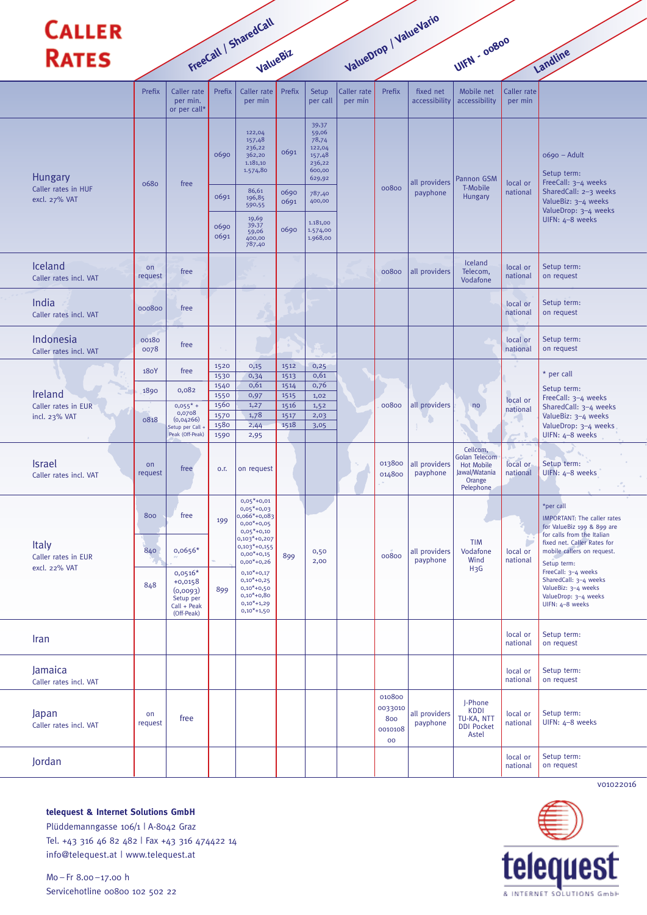| <b>CALLER</b>                           |               |                                                                              |              |                                                                                              |              |                                                                           |                        |                                           |                            |                                                                                               |                        |                                                                                                                |
|-----------------------------------------|---------------|------------------------------------------------------------------------------|--------------|----------------------------------------------------------------------------------------------|--------------|---------------------------------------------------------------------------|------------------------|-------------------------------------------|----------------------------|-----------------------------------------------------------------------------------------------|------------------------|----------------------------------------------------------------------------------------------------------------|
| <b>RATES</b>                            |               |                                                                              |              | FreeCall   SharedCall<br>ValueBiz                                                            |              |                                                                           |                        |                                           | ValueDrop   ValueVario     | UIFN - 00800                                                                                  |                        | Landline                                                                                                       |
|                                         | Prefix        | Caller rate<br>per min.<br>or per call*                                      | Prefix       | Caller rate<br>per min                                                                       | Prefix       | Setup<br>per call                                                         | Caller rate<br>per min | Prefix                                    | fixed net<br>accessibility | Mobile net<br>accessibility                                                                   | Caller rate<br>per min |                                                                                                                |
| Hungary                                 | 0680          | free                                                                         | 0690         | 122,04<br>157,48<br>236,22<br>362,20<br>1.181,10<br>1.574,80                                 | 0691         | 39,37<br>59,06<br>78,74<br>122,04<br>157,48<br>236,22<br>600,00<br>629,92 |                        |                                           | all providers              | Pannon GSM                                                                                    | local or               | $0690 -$ Adult<br>Setup term:<br>FreeCall: 3-4 weeks                                                           |
| Caller rates in HUF<br>excl. 27% VAT    |               |                                                                              | 0691         | 86,61<br>196,85<br>590,55                                                                    | 0690<br>0691 | 787,40<br>400,00                                                          |                        | 00800                                     | payphone                   | T-Mobile<br>Hungary                                                                           | national               | SharedCall: 2-3 weeks<br>ValueBiz: 3-4 weeks<br>ValueDrop: 3-4 weeks                                           |
|                                         |               |                                                                              | 0690<br>0691 | 19,69<br>39,37<br>59,06<br>400,00<br>787,40                                                  | 0690         | 1.181,00<br>1.574,00<br>1.968,00                                          |                        |                                           |                            |                                                                                               |                        | UIFN: 4-8 weeks                                                                                                |
| Iceland<br>Caller rates incl. VAT       | on<br>request | free                                                                         |              |                                                                                              |              |                                                                           |                        | 00800                                     | all providers              | Iceland<br>Telecom,<br>Vodafone                                                               | local or<br>national   | Setup term:<br>on request                                                                                      |
| India<br>Caller rates incl. VAT         | 000800        | free                                                                         |              |                                                                                              |              |                                                                           |                        |                                           |                            |                                                                                               | local or<br>national   | Setup term:<br>on request                                                                                      |
| Indonesia<br>Caller rates incl. VAT     | 00180<br>0078 | free                                                                         |              |                                                                                              |              |                                                                           |                        |                                           |                            |                                                                                               | local or<br>national   | Setup term:<br>on request                                                                                      |
|                                         | 180Y          | free                                                                         | 1520         | 0,15                                                                                         | 1512<br>1513 | 0,25<br>0,61                                                              |                        |                                           |                            |                                                                                               |                        | * per call                                                                                                     |
|                                         | 1890          | 0,082                                                                        | 1530<br>1540 | 0,34<br>0,61                                                                                 | 1514         | 0,76                                                                      |                        |                                           |                            |                                                                                               |                        | Setup term:                                                                                                    |
| Ireland<br>Caller rates in EUR          |               | $0,055* +$                                                                   | 1550<br>1560 | 0,97<br>1,27                                                                                 | 1515<br>1516 | 1,02<br>1,52                                                              |                        | 00800                                     | all providers              | no                                                                                            | local or               | FreeCall: 3-4 weeks                                                                                            |
| incl. 23% VAT                           | 0818          | 0,0708<br>(0,04266)                                                          | 1570         | 1,78                                                                                         | 1517         | 2,03                                                                      |                        |                                           |                            |                                                                                               | national               | SharedCall: 3-4 weeks<br>ValueBiz: 3-4 weeks                                                                   |
|                                         |               | Setup per Call<br>Peak (Off-Peak)                                            | 1580<br>1590 | 2,44<br>2,95                                                                                 | 1518         | 3,05                                                                      |                        |                                           |                            |                                                                                               |                        | ValueDrop: 3-4 weeks<br>UIFN: 4-8 weeks                                                                        |
| <b>Israel</b><br>Caller rates incl. VAT | on<br>request | free                                                                         | 0.f.         | on request                                                                                   |              |                                                                           | ч.                     | 013800<br>014800                          | all providers<br>payphone  | Cellcom,<br><b>Golan Telecom</b><br><b>Hot Mobile</b><br>Jawal/Watania<br>Orange<br>Pelephone | local or<br>national   | Setup term:<br>UIFN: 4-8 weeks                                                                                 |
|                                         | 800           | free                                                                         | 199          | $0,05*+0,01$<br>$0,05*+0,03$<br>0,066*+0,083<br>$0,00*+0,05$<br>$0,05*+0,10$                 |              |                                                                           |                        |                                           |                            |                                                                                               |                        | *per call<br>IMPORTANT: The caller rates<br>for ValueBiz 199 & 899 are                                         |
| Italy<br>Caller rates in EUR            | 840           | $0,0656*$                                                                    |              | 0,103*+0,207<br>$0,103*+0,155$<br>$0,00*+0,15$<br>$0,00*+0,26$                               | 899          | 0,50<br>2,00                                                              |                        | 00800                                     | all providers<br>payphone  | TIM<br>Vodafone<br>Wind                                                                       | local or<br>national   | for calls from the Italian<br>fixed net. Caller Rates for<br>mobile callers on request.<br>Setup term:         |
| excl. 22% VAT                           | 848           | $0,0516*$<br>$+0,0158$<br>(0,0093)<br>Setup per<br>Call + Peak<br>(Off-Peak) | 899          | $0,10*+0,17$<br>$0,10*+0,25$<br>$0,10*+0,50$<br>$0,10*+0,80$<br>$0,10*+1,29$<br>$0,10*+1,50$ |              |                                                                           |                        |                                           |                            | H <sub>3</sub> G                                                                              |                        | FreeCall: 3-4 weeks<br>SharedCall: 3-4 weeks<br>ValueBiz: 3-4 weeks<br>ValueDrop: 3-4 weeks<br>UIFN: 4-8 weeks |
| Iran                                    |               |                                                                              |              |                                                                                              |              |                                                                           |                        |                                           |                            |                                                                                               | local or<br>national   | Setup term:<br>on request                                                                                      |
| Jamaica<br>Caller rates incl. VAT       |               |                                                                              |              |                                                                                              |              |                                                                           |                        |                                           |                            |                                                                                               | local or<br>national   | Setup term:<br>on request                                                                                      |
| Japan<br>Caller rates incl. VAT         | on<br>request | free                                                                         |              |                                                                                              |              |                                                                           |                        | 010800<br>0033010<br>800<br>0010108<br>00 | all providers<br>payphone  | J-Phone<br>KDDI<br>TU-KA, NTT<br><b>DDI Pocket</b><br>Astel                                   | local or<br>national   | Setup term:<br>UIFN: 4-8 weeks                                                                                 |
| Jordan                                  |               |                                                                              |              |                                                                                              |              |                                                                           |                        |                                           |                            |                                                                                               | local or<br>national   | Setup term:<br>on request                                                                                      |



**telequest & Internet Solutions GmbH**

Plüddemanngasse 106/1 | A-8042 Graz Tel. +43 316 46 82 482 | Fax +43 316 474422 14 info@telequest.at | www.telequest.at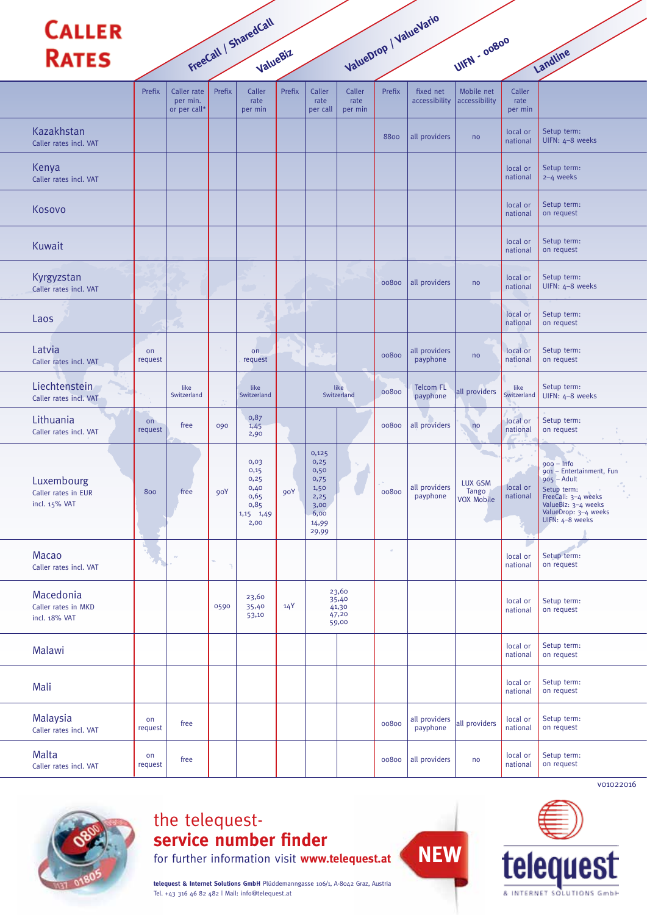| <b>CALLER</b>                                         |               |                                         |        |                                                                   |        |                                                                                 |                                           |          |                            |                                |                           |                                                                                                                                                                     |
|-------------------------------------------------------|---------------|-----------------------------------------|--------|-------------------------------------------------------------------|--------|---------------------------------------------------------------------------------|-------------------------------------------|----------|----------------------------|--------------------------------|---------------------------|---------------------------------------------------------------------------------------------------------------------------------------------------------------------|
| <b>RATES</b>                                          |               |                                         |        | FreeCall   SharedCall<br>ValueBiz                                 |        |                                                                                 |                                           |          | ValueDrop / ValueVario     | UIFN - 00800                   |                           | Landline                                                                                                                                                            |
|                                                       | Prefix        | Caller rate<br>per min.<br>or per call* | Prefix | Caller<br>rate<br>per min                                         | Prefix | Caller<br>rate<br>per call                                                      | Caller<br>rate<br>per min                 | Prefix   | fixed net<br>accessibility | Mobile net<br>accessibility    | Caller<br>rate<br>per min |                                                                                                                                                                     |
| <b>Kazakhstan</b><br>Caller rates incl. VAT           |               |                                         |        |                                                                   |        |                                                                                 |                                           | 8800     | all providers              | no                             | local or<br>national      | Setup term:<br>UIFN: 4-8 weeks                                                                                                                                      |
| Kenya<br>Caller rates incl. VAT                       |               |                                         |        |                                                                   |        |                                                                                 |                                           |          |                            |                                | local or<br>national      | Setup term:<br>2-4 weeks                                                                                                                                            |
| Kosovo                                                |               |                                         |        |                                                                   |        |                                                                                 |                                           |          |                            |                                | local or<br>national      | Setup term:<br>on request                                                                                                                                           |
| <b>Kuwait</b>                                         |               |                                         |        |                                                                   |        |                                                                                 |                                           |          |                            |                                | local or<br>national      | Setup term:<br>on request                                                                                                                                           |
| Kyrgyzstan<br>Caller rates incl. VAT                  |               |                                         |        | a an                                                              |        |                                                                                 |                                           | 00800    | all providers              | no                             | local or<br>national      | Setup term:<br>UIFN: 4-8 weeks                                                                                                                                      |
| Laos                                                  |               |                                         |        | ۵,                                                                |        |                                                                                 |                                           |          |                            |                                | local or<br>national      | Setup term:<br>on request                                                                                                                                           |
| Latvia<br>Caller rates incl. VAT                      | on<br>request |                                         |        | on<br>request                                                     |        |                                                                                 |                                           | 00800    | all providers<br>payphone  | no                             | local or<br>national      | Setup term:<br>on request                                                                                                                                           |
| Liechtenstein<br>Caller rates incl. VAT               |               | like<br>Switzerland                     |        | like<br>Switzerland                                               |        |                                                                                 | like<br>Switzerland                       | 00800    | Telcom FL<br>payphone      | all providers                  | like<br>Switzerland       | Setup term:<br>UIFN: 4-8 weeks                                                                                                                                      |
| Lithuania<br>Caller rates incl. VAT                   | on<br>request | free                                    | 090    | 0,87<br>1,45<br>2,90                                              |        |                                                                                 |                                           | 00800    | all providers              | no                             | local or<br>national      | Setup term:<br>on request                                                                                                                                           |
| Luxembourg<br>Caller rates in EUR<br>incl. $15\%$ VAT | 800           | free                                    | 90Y    | 0,03<br>0,15<br>0,25<br>0,40<br>0,65<br>0,85<br>1,15 1,49<br>2,00 | 90Y    | 0,125<br>0,25<br>0,50<br>0,75<br>1,50<br>2,25<br>3,00<br>6,00<br>14,99<br>29,99 |                                           | 00800    | all providers<br>payphone  | LUX GSM<br>Tango<br>VOX Mobile | local or<br>national      | $900 - lnfo$<br>901 - Entertainment, Fun<br>$905 -$ Adult<br>Setup term:<br>FreeCall: 3-4 weeks<br>ValueBiz: 3-4 weeks<br>ValueDrop: 3-4 weeks<br>UIFN: $4-8$ weeks |
| <b>Macao</b><br>Caller rates incl. VAT                |               | $\mathcal{L}_{\mathcal{A}}$             | n,     |                                                                   |        |                                                                                 |                                           | $\alpha$ |                            |                                | local or<br>national      | Setup term:<br>on request                                                                                                                                           |
| Macedonia<br>Caller rates in MKD<br>incl. 18% VAT     |               |                                         | 0590   | 23,60<br>35,40<br>53,10                                           | 14Y    |                                                                                 | 23,60<br>35,40<br>41,30<br>47,20<br>59,00 |          |                            |                                | local or<br>national      | Setup term:<br>on request                                                                                                                                           |
| Malawi                                                |               |                                         |        |                                                                   |        |                                                                                 |                                           |          |                            |                                | local or<br>national      | Setup term:<br>on request                                                                                                                                           |
| Mali                                                  |               |                                         |        |                                                                   |        |                                                                                 |                                           |          |                            |                                | local or<br>national      | Setup term:<br>on request                                                                                                                                           |
| Malaysia<br>Caller rates incl. VAT                    | on<br>request | free                                    |        |                                                                   |        |                                                                                 |                                           | 00800    | all providers<br>payphone  | all providers                  | local or<br>national      | Setup term:<br>on request                                                                                                                                           |
| Malta<br>Caller rates incl. VAT                       | on<br>request | free                                    |        |                                                                   |        |                                                                                 |                                           | 00800    | all providers              | no                             | local or<br>national      | Setup term:<br>on request                                                                                                                                           |

## the telequest**service number finder**

for further information visit **www.telequest.at**

**NEW**



v01022016

**telequest & Internet Solutions GmbH** Plüddemanngasse 106/1, A-8042 Graz, Austria Tel. +43 316 46 82 482 | Mail: info@telequest.at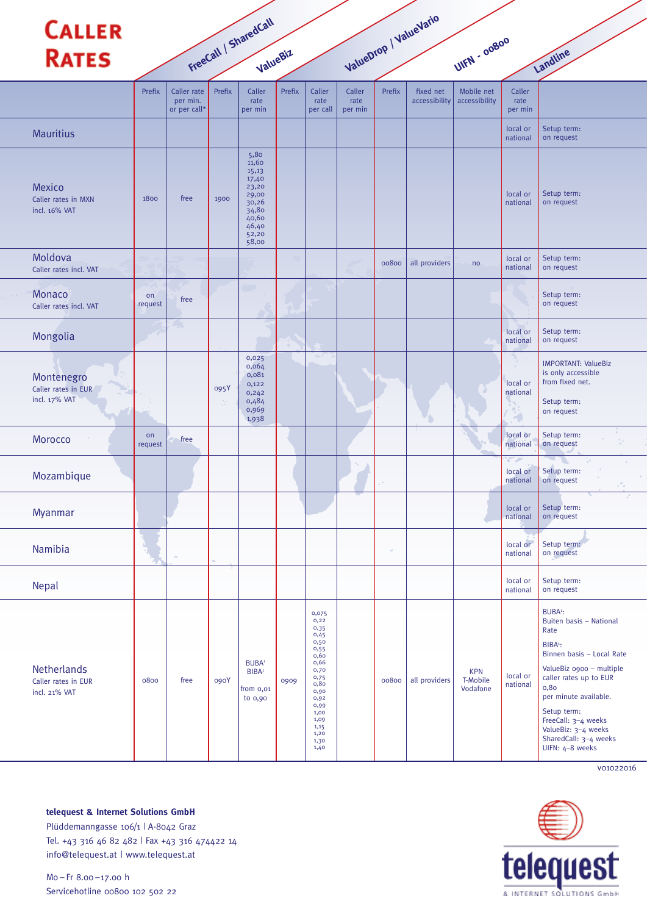| <b>CALLER</b>                                              |               |                                         |        |                                                                                                         |        |                                                                                                                                                               |                           |               |                            |                                    |                           |                                                                                                                                                                                                                                                                                                                   |
|------------------------------------------------------------|---------------|-----------------------------------------|--------|---------------------------------------------------------------------------------------------------------|--------|---------------------------------------------------------------------------------------------------------------------------------------------------------------|---------------------------|---------------|----------------------------|------------------------------------|---------------------------|-------------------------------------------------------------------------------------------------------------------------------------------------------------------------------------------------------------------------------------------------------------------------------------------------------------------|
| <b>RATES</b>                                               |               |                                         |        | FreeCall   SharedCall<br>ValueBiz                                                                       |        |                                                                                                                                                               |                           |               | ValueDrop / ValueVario     | UIFN - 00800                       |                           | Landline                                                                                                                                                                                                                                                                                                          |
|                                                            | Prefix        | Caller rate<br>per min.<br>or per call* | Prefix | Caller<br>rate<br>per min                                                                               | Prefix | Caller<br>rate<br>per call                                                                                                                                    | Caller<br>rate<br>per min | Prefix        | fixed net<br>accessibility | Mobile net<br>accessibility        | Caller<br>rate<br>per min |                                                                                                                                                                                                                                                                                                                   |
| <b>Mauritius</b>                                           |               |                                         |        |                                                                                                         |        |                                                                                                                                                               |                           |               |                            |                                    | local or<br>national      | Setup term:<br>on request                                                                                                                                                                                                                                                                                         |
| Mexico<br>Caller rates in MXN<br>incl. 16% VAT             | 1800          | free                                    | 1900   | 5,80<br>11,60<br>15,13<br>17,40<br>23,20<br>29,00<br>30,26<br>34,80<br>40,60<br>46,40<br>52,20<br>58,00 |        |                                                                                                                                                               |                           |               |                            |                                    | local or<br>national      | Setup term:<br>on request                                                                                                                                                                                                                                                                                         |
| Moldova<br>Caller rates incl. VAT                          |               |                                         |        |                                                                                                         |        |                                                                                                                                                               |                           | 00800         | all providers              | no                                 | local or<br>national      | Setup term:<br>on request                                                                                                                                                                                                                                                                                         |
| Monaco<br>Caller rates incl. VAT                           | on<br>request | free                                    |        | m.                                                                                                      |        |                                                                                                                                                               |                           |               |                            |                                    |                           | Setup term:<br>on request                                                                                                                                                                                                                                                                                         |
| Mongolia                                                   |               | 43                                      |        |                                                                                                         |        |                                                                                                                                                               |                           |               |                            |                                    | local or<br>national      | Setup term:<br>on request                                                                                                                                                                                                                                                                                         |
| Montenegro<br>Caller rates in EUR<br>incl. 17% VAT         |               |                                         | 095Y   | 0,025<br>0,064<br>0,081<br>0,122<br>0,242<br>0,484<br>0,969<br>1,938                                    |        |                                                                                                                                                               |                           |               |                            |                                    | local or<br>national      | <b>IMPORTANT: ValueBiz</b><br>is only accessible<br>from fixed net.<br>Setup term:<br>on request                                                                                                                                                                                                                  |
| Morocco                                                    | on<br>request | free                                    |        |                                                                                                         |        |                                                                                                                                                               |                           |               |                            |                                    | local or<br>national      | Setup term:<br>on request                                                                                                                                                                                                                                                                                         |
| Mozambique                                                 |               |                                         |        |                                                                                                         |        |                                                                                                                                                               |                           |               |                            |                                    | ے<br>local or<br>national | $\sim$<br>Setup term:<br>on request                                                                                                                                                                                                                                                                               |
| Myanmar                                                    |               |                                         |        |                                                                                                         |        |                                                                                                                                                               |                           |               |                            |                                    | local or<br>national      | Setup term:<br>on request                                                                                                                                                                                                                                                                                         |
| Namibia                                                    |               | $\sigma\sigma$                          |        |                                                                                                         |        |                                                                                                                                                               |                           | $\mathcal{A}$ |                            |                                    | local or<br>national      | Setup term:<br>on request                                                                                                                                                                                                                                                                                         |
| Nepal                                                      |               |                                         |        |                                                                                                         |        |                                                                                                                                                               |                           |               |                            |                                    | local or<br>national      | Setup term:<br>on request                                                                                                                                                                                                                                                                                         |
| <b>Netherlands</b><br>Caller rates in EUR<br>incl. 21% VAT | 0800          | free                                    | 090Y   | <b>BUBA</b> <sup>1</sup><br>BIBA <sup>1</sup><br>from 0,01<br>to 0,90                                   | 0909   | 0,075<br>0,22<br>0,35<br>0,45<br>0,50<br>0,55<br>0,60<br>0,66<br>0,70<br>0,75<br>0,80<br>0,90<br>0,92<br>0,99<br>1,00<br>1,09<br>1,15<br>1,20<br>1,30<br>1,40 |                           | 00800         | all providers              | <b>KPN</b><br>T-Mobile<br>Vodafone | local or<br>national      | <b>BUBA</b> <sup>1</sup> :<br>Buiten basis - National<br>Rate<br>BIBA <sup>1</sup> :<br>Binnen basis - Local Rate<br>ValueBiz 0900 - multiple<br>caller rates up to EUR<br>0,80<br>per minute available.<br>Setup term:<br>FreeCall: 3-4 weeks<br>ValueBiz: 3-4 weeks<br>SharedCall: 3-4 weeks<br>UIFN: 4-8 weeks |

### **telequest & Internet Solutions GmbH**

Plüddemanngasse 106/1 | A-8042 Graz Tel. +43 316 46 82 482 | Fax +43 316 474422 14 info@telequest.at | www.telequest.at

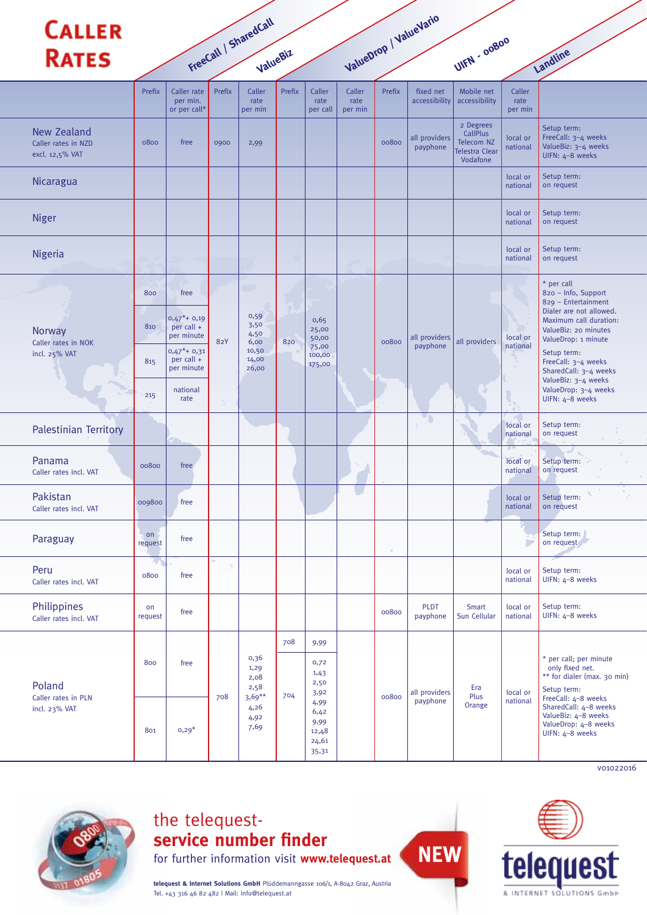| <b>CALLER</b>                                                |               |                                                          |                | FreeCall   SharedCall             |        |                                                         |                           |          | ValueDrop / ValueVario     |                                                                   |                           |                                                                                                                |
|--------------------------------------------------------------|---------------|----------------------------------------------------------|----------------|-----------------------------------|--------|---------------------------------------------------------|---------------------------|----------|----------------------------|-------------------------------------------------------------------|---------------------------|----------------------------------------------------------------------------------------------------------------|
| <b>RATES</b>                                                 |               |                                                          |                | ValueBiz                          |        |                                                         |                           |          |                            | UIFN - 00800                                                      |                           | Landline                                                                                                       |
|                                                              | Prefix        | Caller rate<br>per min.<br>or per call*                  | Prefix         | Caller<br>rate<br>per min         | Prefix | Caller<br>rate<br>per call                              | Caller<br>rate<br>per min | Prefix   | fixed net<br>accessibility | Mobile net<br>accessibility                                       | Caller<br>rate<br>per min |                                                                                                                |
| <b>New Zealand</b><br>Caller rates in NZD<br>excl. 12,5% VAT | 0800          | free                                                     | 0900           | 2,99                              |        |                                                         |                           | 00800    | all providers<br>payphone  | 2 Degrees<br>CallPlus<br>Telecom NZ<br>Telestra Clear<br>Vodafone | local or<br>national      | Setup term:<br>FreeCall: 3-4 weeks<br>ValueBiz: 3-4 weeks<br>UIFN: 4-8 weeks                                   |
| Nicaragua                                                    |               |                                                          |                |                                   |        |                                                         |                           |          |                            |                                                                   | local or<br>national      | Setup term:<br>on request                                                                                      |
| <b>Niger</b>                                                 |               |                                                          |                |                                   |        |                                                         |                           |          |                            |                                                                   | local or<br>national      | Setup term:<br>on request                                                                                      |
| Nigeria                                                      |               |                                                          |                |                                   |        |                                                         |                           |          |                            |                                                                   | local or<br>national      | Setup term:<br>on request                                                                                      |
|                                                              | 800           | free                                                     |                | m.                                |        |                                                         |                           |          |                            |                                                                   |                           | * per call<br>820 - Info, Support<br>829 - Entertainment                                                       |
| Norway<br>Caller rates in NOK                                | 810           | $0,47$ <sup>*</sup> + 0,19<br>per call +<br>per minute   | 82Y            | 0,59<br>3,50<br>4,50<br>6,00      | 820    | 0,65<br>25,00<br>50,00<br>75,00                         |                           | 00800    | all providers<br>payphone  | all providers                                                     | local or<br>national      | Dialer are not allowed.<br>Maximum call duration:<br>ValueBiz: 20 minutes<br>ValueDrop: 1 minute               |
| incl. 25% VAT                                                | 815           | $0,47$ <sup>*</sup> + 0,31<br>per call $+$<br>per minute |                | 10,50<br>14,00<br>26,00           |        | 100,00<br>175,00                                        |                           |          |                            |                                                                   |                           | Setup term:<br>FreeCall: 3-4 weeks<br>SharedCall: 3-4 weeks<br>ValueBiz: 3-4 weeks                             |
|                                                              | 215           | national<br>rate                                         | $\mathbb{C}^*$ |                                   |        |                                                         |                           |          |                            |                                                                   |                           | ValueDrop: 3-4 weeks<br>UIFN: 4-8 weeks                                                                        |
| <b>Palestinian Territory</b>                                 |               |                                                          |                |                                   |        |                                                         |                           |          | V)                         |                                                                   | local or<br>national      | Setup term:<br>on request                                                                                      |
| Panama<br>Caller rates incl. VAT                             | 00800         | free                                                     |                |                                   |        |                                                         |                           |          |                            |                                                                   | local or<br>national      | Setup term:<br>on request                                                                                      |
| Pakistan<br>Caller rates incl. VAT                           | 009800        | free                                                     |                |                                   |        |                                                         |                           |          |                            |                                                                   | local or<br>national      | Setup term:<br>on request                                                                                      |
| Paraguay                                                     | on<br>request | free                                                     |                |                                   |        |                                                         |                           | $\alpha$ |                            |                                                                   |                           | Setup term:<br>on request                                                                                      |
| Peru<br>Caller rates incl. VAT                               | ۸ŗ.<br>0800   | free                                                     | n.             |                                   |        |                                                         |                           |          |                            |                                                                   | local or<br>national      | Setup term:<br>UIFN: 4-8 weeks                                                                                 |
| Philippines<br>Caller rates incl. VAT                        | on<br>request | free                                                     |                |                                   |        |                                                         |                           | 00800    | <b>PLDT</b><br>payphone    | Smart<br>Sun Cellular                                             | local or<br>national      | Setup term:<br>UIFN: 4-8 weeks                                                                                 |
|                                                              |               |                                                          |                |                                   | 708    | 9,99                                                    |                           |          |                            |                                                                   |                           |                                                                                                                |
| Poland                                                       | 800           | free                                                     |                | 0,36<br>1,29<br>2,08<br>2,58      |        | 0,72<br>1,43<br>2,50                                    |                           |          | all providers              | Era                                                               |                           | * per call; per minute<br>only fixed net.<br>** for dialer (max. 30 min)<br>Setup term:                        |
| Caller rates in PLN<br>incl. 23% VAT                         | 801           | $0,29*$                                                  | 708            | $3,69***$<br>4,26<br>4,92<br>7,69 | 704    | 3,92<br>4,99<br>6,42<br>9,99<br>12,48<br>24,61<br>35,31 |                           | 00800    | payphone                   | Plus<br>Orange                                                    | local or<br>national      | FreeCall: 4-8 weeks<br>SharedCall: 4-8 weeks<br>ValueBiz: 4-8 weeks<br>ValueDrop: 4-8 weeks<br>UIFN: 4-8 weeks |



### the telequest**service number finder**

for further information visit **www.telequest.at**

**telequest & Internet Solutions GmbH** Plüddemanngasse 106/1, A-8042 Graz, Austria Tel. +43 316 46 82 482 | Mail: info@telequest.at



**NEW**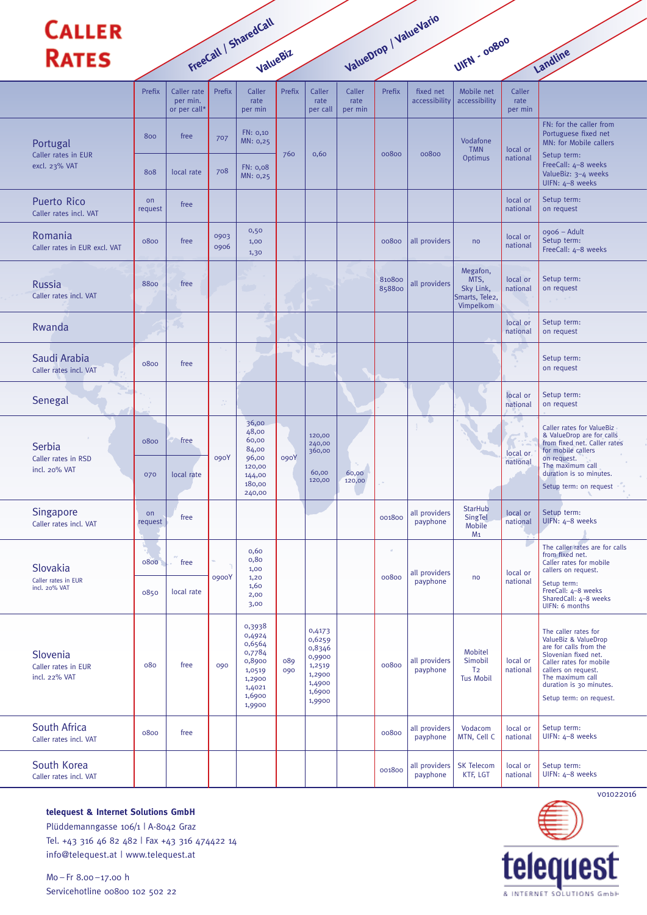## **CALLER** RATES FreeCall | SharedCall

| <b>CALLER</b>                                    |               |                                         |                |                                                                                                  |            |                                                                                        |                           |                  |                            |                                                              |                           |                                                                                                                                                                                                                            |
|--------------------------------------------------|---------------|-----------------------------------------|----------------|--------------------------------------------------------------------------------------------------|------------|----------------------------------------------------------------------------------------|---------------------------|------------------|----------------------------|--------------------------------------------------------------|---------------------------|----------------------------------------------------------------------------------------------------------------------------------------------------------------------------------------------------------------------------|
| <b>RATES</b>                                     |               |                                         |                | FreeCall / SharedCall<br>ValueBiz                                                                |            |                                                                                        |                           |                  | ValueDrop / ValueVario     | UIFN - 00800                                                 |                           | Landline                                                                                                                                                                                                                   |
|                                                  | Prefix        | Caller rate<br>per min.<br>or per call* | Prefix         | Caller<br>rate<br>per min                                                                        | Prefix     | Caller<br>rate<br>per call                                                             | Caller<br>rate<br>per min | Prefix           | fixed net<br>accessibility | Mobile net<br>accessibility                                  | Caller<br>rate<br>per min |                                                                                                                                                                                                                            |
| Portugal<br>Caller rates in EUR<br>excl. 23% VAT | 800<br>808    | free<br>local rate                      | 707<br>708     | FN: 0,10<br>MN: 0,25<br>FN: 0,08                                                                 | 760        | 0,60                                                                                   |                           | 00800            | 00800                      | Vodafone<br><b>TMN</b><br>Optimus                            | local or<br>national      | FN: for the caller from<br>Portuguese fixed net<br>MN: for Mobile callers<br>Setup term:<br>FreeCall: 4-8 weeks<br>ValueBiz: 3-4 weeks                                                                                     |
| <b>Puerto Rico</b><br>Caller rates incl. VAT     | on<br>request | free                                    |                | MN: 0,25                                                                                         |            |                                                                                        |                           |                  |                            |                                                              | local or<br>national      | UIFN: 4-8 weeks<br>Setup term:<br>on request                                                                                                                                                                               |
| Romania<br>Caller rates in EUR excl. VAT         | 0800          | free                                    | 0903<br>0906   | 0,50<br>1,00<br>1,30                                                                             |            |                                                                                        |                           | 00800            | all providers              | no                                                           | local or<br>national      | $0906 -$ Adult<br>Setup term:<br>FreeCall: 4-8 weeks                                                                                                                                                                       |
| <b>Russia</b><br>Caller rates incl. VAT          | 8800          | free                                    |                |                                                                                                  |            |                                                                                        |                           | 810800<br>858800 | all providers              | Megafon,<br>MTS,<br>Sky Link,<br>Smarts, Tele2,<br>Vimpelkom | local or<br>national      | Setup term:<br>on request                                                                                                                                                                                                  |
| Rwanda                                           |               | 4,3                                     |                |                                                                                                  |            |                                                                                        |                           |                  |                            |                                                              | local or<br>national      | Setup term:<br>on request                                                                                                                                                                                                  |
| Saudi Arabia<br>Caller rates incl. VAT           | 0800          | free                                    |                |                                                                                                  |            |                                                                                        |                           |                  |                            |                                                              |                           | Setup term:<br>on request                                                                                                                                                                                                  |
| ŽЫ.<br>Senegal                                   |               |                                         | $\mathbb{C}^*$ |                                                                                                  |            |                                                                                        |                           |                  |                            |                                                              | local or<br>national      | Setup term:<br>on request                                                                                                                                                                                                  |
| Serbia                                           | 0800          | free                                    |                | 36,00<br>48,00<br>60,00<br>84,00                                                                 |            | 120,00<br>240,00<br>360,00                                                             |                           |                  |                            |                                                              | τJ<br>local or            | Caller rates for ValueBiz<br>& ValueDrop are for calls<br>from fixed net. Caller rates<br>for mobile callers                                                                                                               |
| Caller rates in RSD<br>incl. 20% VAT             | 070           | local rate                              | o9oY           | 96,00<br>120,00<br>144,00<br>180,00<br>240,00                                                    | ogoY       | 60,00<br>120,00                                                                        | 60,00<br>120,00           |                  |                            |                                                              | national                  | on request.<br>The maximum call<br>duration is 10 minutes.<br>Setup term: on request                                                                                                                                       |
| Singapore<br>Caller rates incl. VAT              | on<br>request | free                                    |                |                                                                                                  |            |                                                                                        |                           | 001800           | all providers<br>payphone  | <b>StarHub</b><br>SingTel<br>Mobile<br>M <sub>1</sub>        | local or<br>national      | Setup term:<br>UIFN: 4-8 weeks                                                                                                                                                                                             |
| Slovakia                                         | 0800          | free                                    |                | 0,60<br>0,80<br>1,00                                                                             |            |                                                                                        |                           | ×.               | all providers              |                                                              | local or                  | The caller rates are for calls<br>from fixed net.<br>Caller rates for mobile<br>callers on request.                                                                                                                        |
| Caller rates in EUR<br>incl. 20% VAT             | 0850          | local rate                              | o9ooY          | 1,20<br>1,60<br>2,00<br>3,00                                                                     |            |                                                                                        |                           | 00800            | payphone                   | no                                                           | national                  | Setup term:<br>FreeCall: 4-8 weeks<br>SharedCall: 4-8 weeks<br>UIFN: 6 months                                                                                                                                              |
| Slovenia<br>Caller rates in EUR<br>incl. 22% VAT | 080           | free                                    | 090            | 0,3938<br>0,4924<br>0,6564<br>0,7784<br>0,8900<br>1,0519<br>1,2900<br>1,4021<br>1,6900<br>1,9900 | 089<br>090 | 0,4173<br>0,6259<br>0,8346<br>0,9900<br>1,2519<br>1,2900<br>1,4900<br>1,6900<br>1,9900 |                           | 00800            | all providers<br>payphone  | Mobitel<br>Simobil<br>T <sub>2</sub><br><b>Tus Mobil</b>     | local or<br>national      | The caller rates for<br>ValueBiz & ValueDrop<br>are for calls from the<br>Slovenian fixed net.<br>Caller rates for mobile<br>callers on request.<br>The maximum call<br>duration is 30 minutes.<br>Setup term: on request. |
| South Africa<br>Caller rates incl. VAT           | 0800          | free                                    |                |                                                                                                  |            |                                                                                        |                           | 00800            | all providers<br>payphone  | Vodacom<br>MTN, Cell C                                       | local or<br>national      | Setup term:<br>UIFN: 4-8 weeks                                                                                                                                                                                             |
| South Korea<br>Caller rates incl. VAT            |               |                                         |                |                                                                                                  |            |                                                                                        |                           | 001800           | all providers<br>payphone  | <b>SK Telecom</b><br>KTF, LGT                                | local or<br>national      | Setup term:<br>UIFN: 4-8 weeks                                                                                                                                                                                             |
|                                                  |               |                                         |                |                                                                                                  |            |                                                                                        |                           |                  |                            |                                                              |                           | V01022016                                                                                                                                                                                                                  |

**telequest & Internet Solutions GmbH**

Plüddemanngasse 106/1 | A-8042 Graz Tel. +43 316 46 82 482 | Fax +43 316 474422 14 info@telequest.at | www.telequest.at

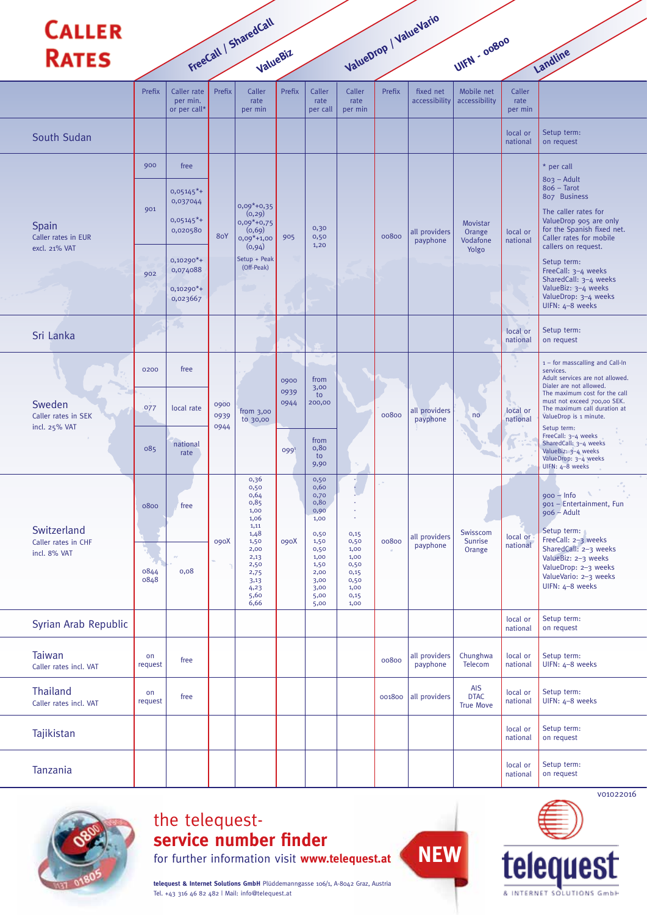| <b>CALLER</b>                                      |               |                                                                            |                      |                                                                                      |              |                                                                              |                                                                              |        |                            |                                               |                           |                                                                                                                                                            |
|----------------------------------------------------|---------------|----------------------------------------------------------------------------|----------------------|--------------------------------------------------------------------------------------|--------------|------------------------------------------------------------------------------|------------------------------------------------------------------------------|--------|----------------------------|-----------------------------------------------|---------------------------|------------------------------------------------------------------------------------------------------------------------------------------------------------|
| <b>RATES</b>                                       |               |                                                                            |                      | FreeCall   SharedCall<br>ValueBiz                                                    |              |                                                                              |                                                                              |        | ValueDrop / ValueVario     | UIFN - 00800                                  |                           | Landline                                                                                                                                                   |
|                                                    | Prefix        | Caller rate<br>per min.<br>or per call*                                    | Prefix               | Caller<br>rate<br>per min                                                            | Prefix       | Caller<br>rate<br>per call                                                   | Caller<br>rate<br>per min                                                    | Prefix | fixed net<br>accessibility | Mobile net<br>accessibility                   | Caller<br>rate<br>per min |                                                                                                                                                            |
| South Sudan                                        |               |                                                                            |                      |                                                                                      |              |                                                                              |                                                                              |        |                            |                                               | local or<br>national      | Setup term:<br>on request                                                                                                                                  |
|                                                    | 900           | free                                                                       |                      |                                                                                      |              |                                                                              |                                                                              |        |                            |                                               |                           | * per call                                                                                                                                                 |
| Spain<br>Caller rates in EUR                       | 901           | $0,05145$ <sup>*+</sup><br>0,037044<br>$0,05145$ <sup>*+</sup><br>0,020580 | <b>80Y</b>           | $0,09*+0,35$<br>(0, 29)<br>$0,09*+0,75$<br>(0, 69)<br>$0,09*+1,00$                   | 905          | 0,30<br>0,50<br>1,20                                                         |                                                                              | 00800  | all providers<br>payphone  | Movistar<br>Orange<br>Vodafone                | local or<br>national      | $803 -$ Adult<br>$806 - T$ arot<br>807 Business<br>The caller rates for<br>ValueDrop 905 are only<br>for the Spanish fixed net.<br>Caller rates for mobile |
| excl. 21% VAT                                      |               | $0,10290*$ +<br>0,074088                                                   |                      | (0, 94)<br>Setup + Peak<br>(Off-Peak)                                                |              |                                                                              |                                                                              |        |                            | Yolgo                                         |                           | callers on request.<br>Setup term:<br>FreeCall: 3-4 weeks                                                                                                  |
|                                                    | 902           | $0,10290*$ +<br>0,023667                                                   |                      | e e c                                                                                |              |                                                                              |                                                                              |        |                            |                                               |                           | SharedCall: 3-4 weeks<br>ValueBiz: 3-4 weeks<br>ValueDrop: 3-4 weeks<br>UIFN: 4-8 weeks                                                                    |
| Sri Lanka                                          |               |                                                                            |                      |                                                                                      |              |                                                                              |                                                                              |        |                            |                                               | local or<br>national      | Setup term:<br>on request                                                                                                                                  |
|                                                    | 0200          | free                                                                       |                      |                                                                                      | 0900         | <b>Star</b><br>from<br>3,00                                                  |                                                                              |        |                            |                                               |                           | $1 -$ for masscalling and Call-In<br>services.<br>Adult services are not allowed.<br>Dialer are not allowed.                                               |
| Sweden<br>Caller rates in SEK<br>incl. 25% VAT     | 077           | local rate                                                                 | 0900<br>0939<br>0944 | from $3,00$<br>to 30,00                                                              | 0939<br>0944 | to<br>200,00                                                                 |                                                                              | 00800  | all providers<br>payphone  | no                                            | local or<br>national      | The maximum cost for the call<br>must not exceed 700,00 SEK.<br>The maximum call duration at<br>ValueDrop is 1 minute.                                     |
|                                                    | 085           | national<br>rate                                                           |                      |                                                                                      | $099^{1}$    | from<br>0,80<br>to<br>9,90                                                   |                                                                              |        |                            |                                               |                           | Setup term:<br>FreeCall: 3-4 weeks<br>SharedCall: 3-4 weeks<br>ValueBiz: 3-4 weeks<br>ValueDrop: 3-4 weeks<br>UIFN: 4-8 weeks                              |
|                                                    | 0800          | free                                                                       |                      | 0,36<br>0,50<br>0,64<br>0,85<br>1,00<br>1,06                                         |              | 0,50<br>0,60<br>0,70<br>0,80<br>0,90<br>1,00                                 | $\overline{\phantom{a}}$<br>÷<br>$\sim$                                      |        |                            |                                               |                           | $900 - lnfo$<br>901 - Entertainment, Fun<br>$906 -$ Adult                                                                                                  |
| Switzerland<br>Caller rates in CHF<br>incl. 8% VAT | 0844<br>0848  | 0,08                                                                       | ogoX                 | 1,11<br>1,48<br>1,50<br>2,00<br>2,13<br>2,50<br>2,75<br>3,13<br>4,23<br>5,60<br>6,66 | ogoX         | 0,50<br>1,50<br>0,50<br>1,00<br>1,50<br>2,00<br>3,00<br>3,00<br>5,00<br>5,00 | 0,15<br>0,50<br>1,00<br>1,00<br>0,50<br>0,15<br>0,50<br>1,00<br>0,15<br>1,00 | 00800  | all providers<br>payphone  | Swisscom<br>Sunrise<br>Orange                 | local or<br>national      | Setup term:<br>FreeCall: 2-3 weeks<br>SharedCall: 2-3 weeks<br>ValueBiz: 2-3 weeks<br>ValueDrop: 2-3 weeks<br>ValueVario: 2-3 weeks<br>UIFN: 4-8 weeks     |
| Syrian Arab Republic                               |               |                                                                            |                      |                                                                                      |              |                                                                              |                                                                              |        |                            |                                               | local or<br>national      | Setup term:<br>on request                                                                                                                                  |
| Taiwan<br>Caller rates incl. VAT                   | on<br>request | free                                                                       |                      |                                                                                      |              |                                                                              |                                                                              | 00800  | all providers<br>payphone  | Chunghwa<br>Telecom                           | local or<br>national      | Setup term:<br>UIFN: 4-8 weeks                                                                                                                             |
| <b>Thailand</b><br>Caller rates incl. VAT          | on<br>request | free                                                                       |                      |                                                                                      |              |                                                                              |                                                                              | 001800 | all providers              | <b>AIS</b><br><b>DTAC</b><br><b>True Move</b> | local or<br>national      | Setup term:<br>UIFN: 4-8 weeks                                                                                                                             |
| Tajikistan                                         |               |                                                                            |                      |                                                                                      |              |                                                                              |                                                                              |        |                            |                                               | local or<br>national      | Setup term:<br>on request                                                                                                                                  |
| Tanzania                                           |               |                                                                            |                      |                                                                                      |              |                                                                              |                                                                              |        |                            |                                               | local or<br>national      | Setup term:<br>on request                                                                                                                                  |



### the telequest**service number finder**

for further information visit **www.telequest.at**





v01022016

**telequest & Internet Solutions GmbH** Plüddemanngasse 106/1, A-8042 Graz, Austria Tel. +43 316 46 82 482 | Mail: info@telequest.at